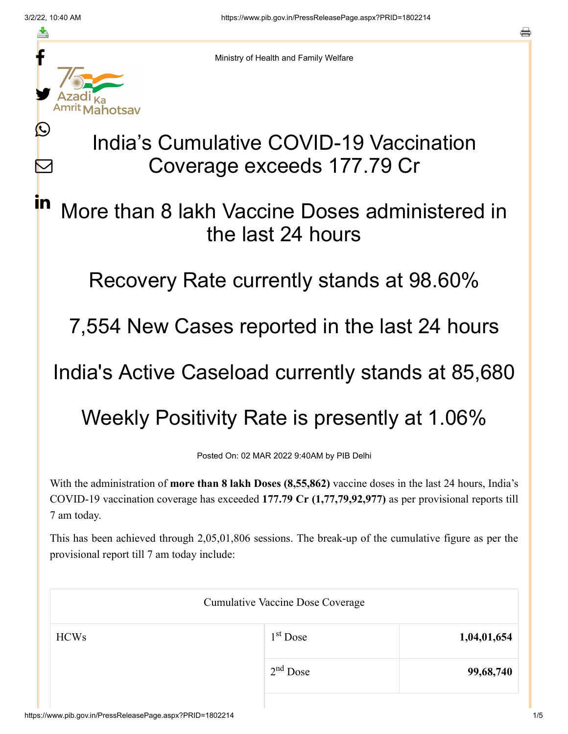≛

Ŀ

 $\bm{\nabla}$ 

in



Ministry of Health and Family Welfare

## India's Cumulative COVID-19 Vaccination Coverage exceeds 177.79 Cr

## More than 8 lakh Vaccine Doses administered in the last 24 hours

Recovery Rate currently stands at 98.60%

7,554 New Cases reported in the last 24 hours

India's Active Caseload currently stands at 85,680

Weekly Positivity Rate is presently at 1.06%

Posted On: 02 MAR 2022 9:40AM by PIB Delhi

With the administration of **more than 8 lakh Doses (8,55,862)** vaccine doses in the last 24 hours, India's COVID-19 vaccination coverage has exceeded **177.79 Cr (1,77,79,92,977)** as per provisional reports till 7 am today.

This has been achieved through 2,05,01,806 sessions. The break-up of the cumulative figure as per the provisional report till 7 am today include:

| <b>Cumulative Vaccine Dose Coverage</b> |            |             |  |
|-----------------------------------------|------------|-------------|--|
| <b>HCWs</b>                             | $1st$ Dose | 1,04,01,654 |  |
|                                         | $2nd$ Dose | 99,68,740   |  |
|                                         |            |             |  |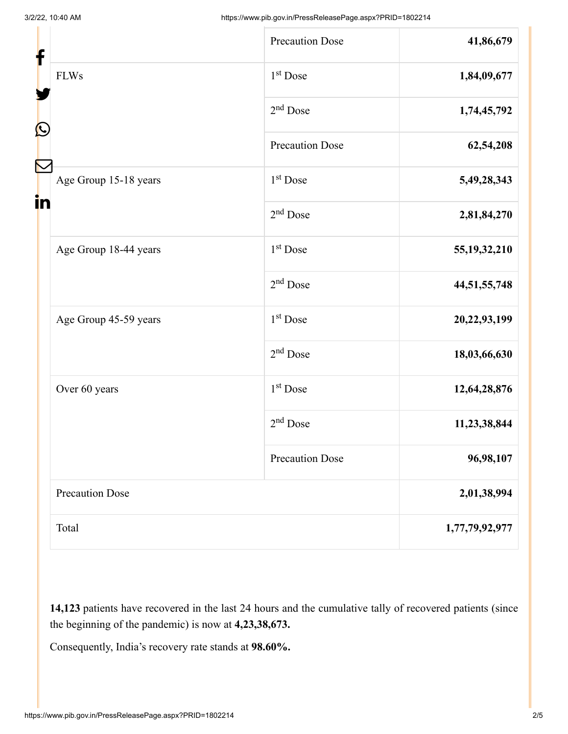| f<br>C |                        | <b>Precaution Dose</b> | 41,86,679       |
|--------|------------------------|------------------------|-----------------|
|        | <b>FLWs</b>            | 1 <sup>st</sup> Dose   | 1,84,09,677     |
|        |                        | $2nd$ Dose             | 1,74,45,792     |
|        |                        | Precaution Dose        | 62,54,208       |
| in     | Age Group 15-18 years  | 1 <sup>st</sup> Dose   | 5,49,28,343     |
|        |                        | $2nd$ Dose             | 2,81,84,270     |
|        | Age Group 18-44 years  | 1 <sup>st</sup> Dose   | 55, 19, 32, 210 |
|        |                        | $2nd$ Dose             | 44,51,55,748    |
|        | Age Group 45-59 years  | 1 <sup>st</sup> Dose   | 20,22,93,199    |
|        |                        | $2nd$ Dose             | 18,03,66,630    |
|        | Over 60 years          | 1 <sup>st</sup> Dose   | 12,64,28,876    |
|        |                        | $2nd$ Dose             | 11,23,38,844    |
|        |                        | <b>Precaution Dose</b> | 96,98,107       |
|        | <b>Precaution Dose</b> |                        | 2,01,38,994     |
|        | Total                  |                        | 1,77,79,92,977  |

**14,123** patients have recovered in the last 24 hours and the cumulative tally of recovered patients (since the beginning of the pandemic) is now at **4,23,38,673.**

Consequently, India's recovery rate stands at **98.60%.**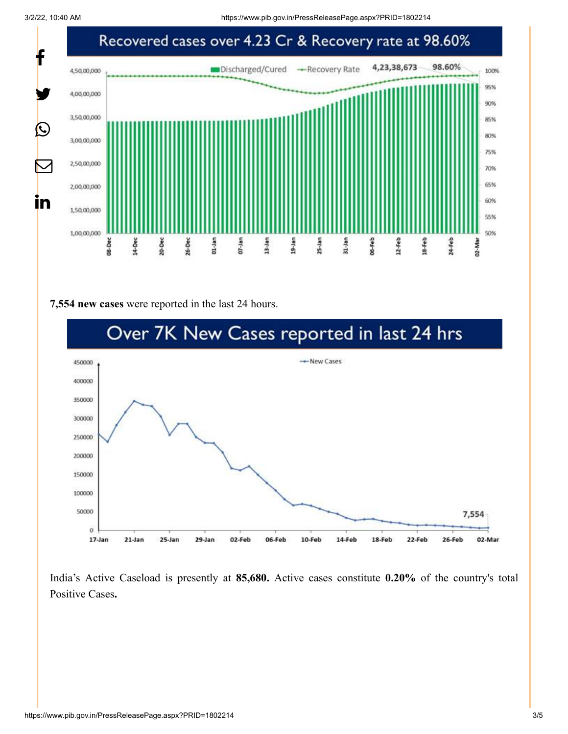

## **7,554 new cases** were reported in the last 24 hours.



India's Active Caseload is presently at **85,680.** Active cases constitute **0.20%** of the country's total Positive Cases**.**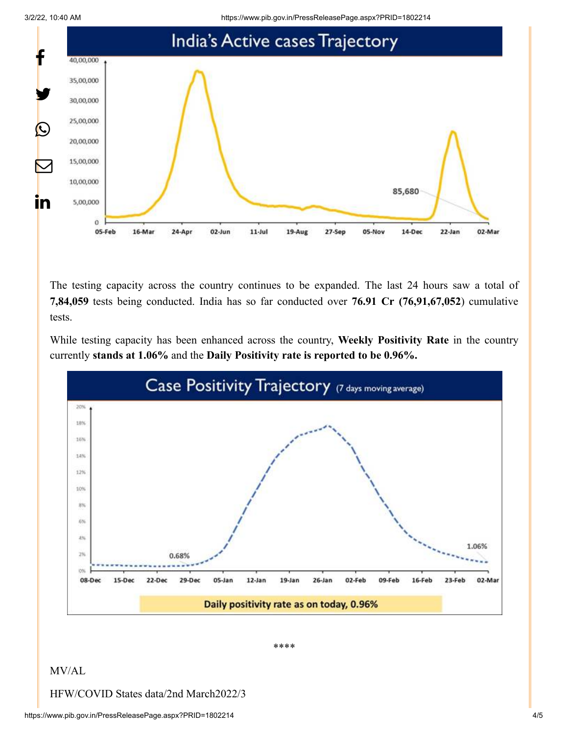



The testing capacity across the country continues to be expanded. The last 24 hours saw a total of **7,84,059** tests being conducted. India has so far conducted over **76.91 Cr (76,91,67,052**) cumulative tests.

While testing capacity has been enhanced across the country, **Weekly Positivity Rate** in the country currently **stands at 1.06%** and the **Daily Positivity rate is reported to be 0.96%.**



\*\*\*\*

## MV/AL

HFW/COVID States data/2nd March2022/3